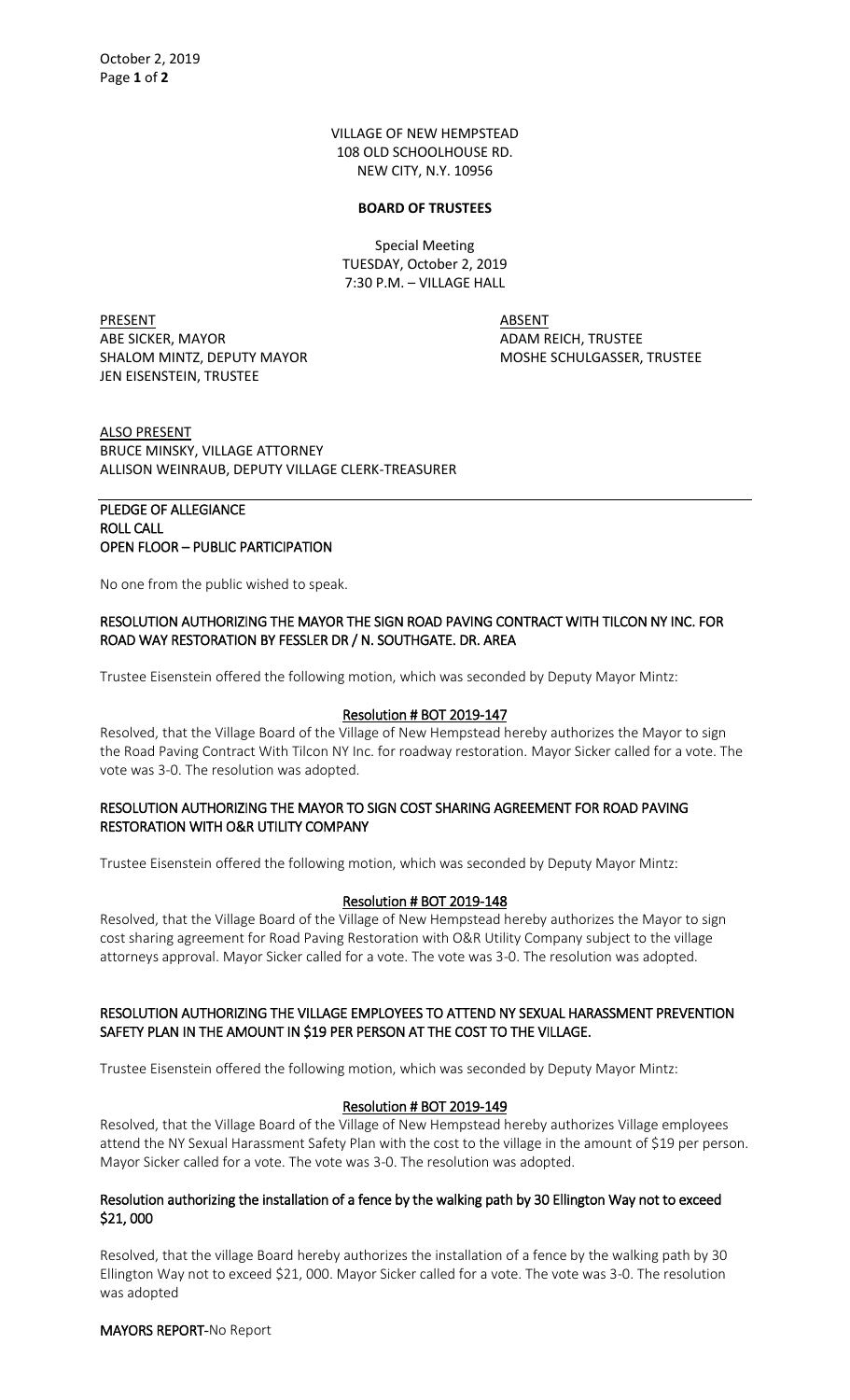VILLAGE OF NEW HEMPSTEAD 108 OLD SCHOOLHOUSE RD. NEW CITY, N.Y. 10956

#### **BOARD OF TRUSTEES**

Special Meeting TUESDAY, October 2, 2019 7:30 P.M. – VILLAGE HALL

PRESENT ABSENT ABE SICKER, MAYOR ADAM REICH, TRUSTEE SHALOM MINTZ, DEPUTY MAYOR MOSHE SCHULGASSER, TRUSTEE JEN EISENSTEIN, TRUSTEE

ALSO PRESENT BRUCE MINSKY, VILLAGE ATTORNEY ALLISON WEINRAUB, DEPUTY VILLAGE CLERK-TREASURER

# PLEDGE OF ALLEGIANCE ROLL CALL OPEN FLOOR – PUBLIC PARTICIPATION

No one from the public wished to speak.

## RESOLUTION AUTHORIZING THE MAYOR THE SIGN ROAD PAVING CONTRACT WITH TILCON NY INC. FOR ROAD WAY RESTORATION BY FESSLER DR / N. SOUTHGATE. DR. AREA

Trustee Eisenstein offered the following motion, which was seconded by Deputy Mayor Mintz:

# Resolution # BOT 2019-147

Resolved, that the Village Board of the Village of New Hempstead hereby authorizes the Mayor to sign the Road Paving Contract With Tilcon NY Inc. for roadway restoration. Mayor Sicker called for a vote. The vote was 3-0. The resolution was adopted.

# RESOLUTION AUTHORIZING THE MAYOR TO SIGN COST SHARING AGREEMENT FOR ROAD PAVING RESTORATION WITH O&R UTILITY COMPANY

Trustee Eisenstein offered the following motion, which was seconded by Deputy Mayor Mintz:

### Resolution # BOT 2019-148

Resolved, that the Village Board of the Village of New Hempstead hereby authorizes the Mayor to sign cost sharing agreement for Road Paving Restoration with O&R Utility Company subject to the village attorneys approval. Mayor Sicker called for a vote. The vote was 3-0. The resolution was adopted.

## RESOLUTION AUTHORIZING THE VILLAGE EMPLOYEES TO ATTEND NY SEXUAL HARASSMENT PREVENTION SAFETY PLAN IN THE AMOUNT IN \$19 PER PERSON AT THE COST TO THE VILLAGE.

Trustee Eisenstein offered the following motion, which was seconded by Deputy Mayor Mintz:

### Resolution # BOT 2019-149

Resolved, that the Village Board of the Village of New Hempstead hereby authorizes Village employees attend the NY Sexual Harassment Safety Plan with the cost to the village in the amount of \$19 per person. Mayor Sicker called for a vote. The vote was 3-0. The resolution was adopted.

## Resolution authorizing the installation of a fence by the walking path by 30 Ellington Way not to exceed \$21, 000

Resolved, that the village Board hereby authorizes the installation of a fence by the walking path by 30 Ellington Way not to exceed \$21, 000. Mayor Sicker called for a vote. The vote was 3-0. The resolution was adopted

MAYORS REPORT-No Report